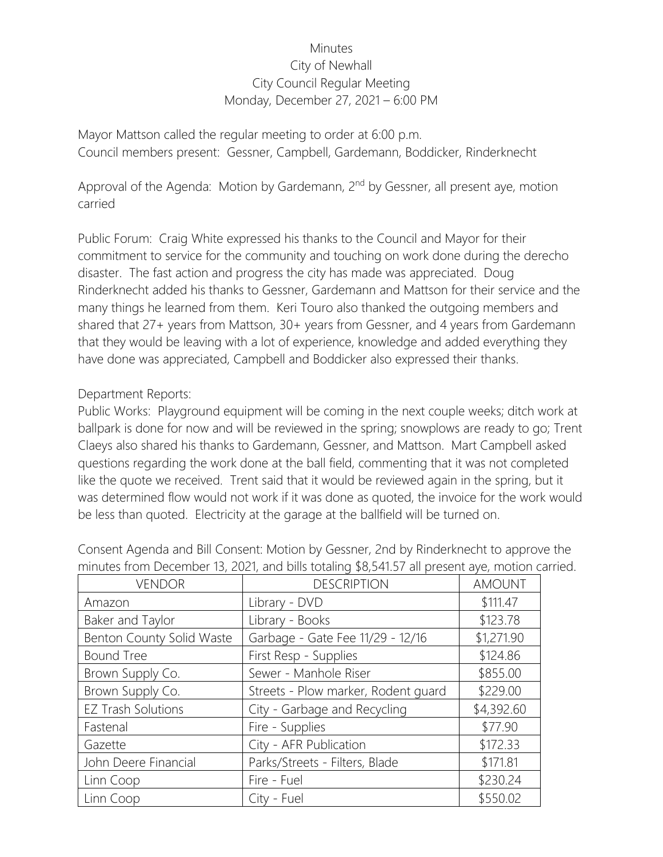## **Minutes** City of Newhall City Council Regular Meeting Monday, December 27, 2021 – 6:00 PM

Mayor Mattson called the regular meeting to order at 6:00 p.m. Council members present: Gessner, Campbell, Gardemann, Boddicker, Rinderknecht

Approval of the Agenda: Motion by Gardemann, 2<sup>nd</sup> by Gessner, all present aye, motion carried

Public Forum: Craig White expressed his thanks to the Council and Mayor for their commitment to service for the community and touching on work done during the derecho disaster. The fast action and progress the city has made was appreciated. Doug Rinderknecht added his thanks to Gessner, Gardemann and Mattson for their service and the many things he learned from them. Keri Touro also thanked the outgoing members and shared that 27+ years from Mattson, 30+ years from Gessner, and 4 years from Gardemann that they would be leaving with a lot of experience, knowledge and added everything they have done was appreciated, Campbell and Boddicker also expressed their thanks.

## Department Reports:

Public Works: Playground equipment will be coming in the next couple weeks; ditch work at ballpark is done for now and will be reviewed in the spring; snowplows are ready to go; Trent Claeys also shared his thanks to Gardemann, Gessner, and Mattson. Mart Campbell asked questions regarding the work done at the ball field, commenting that it was not completed like the quote we received. Trent said that it would be reviewed again in the spring, but it was determined flow would not work if it was done as quoted, the invoice for the work would be less than quoted. Electricity at the garage at the ballfield will be turned on.

| <b>VENDOR</b>             | <b>DESCRIPTION</b>                  | <b>AMOUNT</b> |
|---------------------------|-------------------------------------|---------------|
| Amazon                    | Library - DVD                       | \$111.47      |
| Baker and Taylor          | Library - Books                     | \$123.78      |
| Benton County Solid Waste | Garbage - Gate Fee 11/29 - 12/16    | \$1,271.90    |
| <b>Bound Tree</b>         | First Resp - Supplies               | \$124.86      |
| Brown Supply Co.          | Sewer - Manhole Riser               | \$855.00      |
| Brown Supply Co.          | Streets - Plow marker, Rodent guard | \$229.00      |
| <b>EZ Trash Solutions</b> | City - Garbage and Recycling        | \$4,392.60    |
| Fastenal                  | Fire - Supplies                     | \$77.90       |
| Gazette                   | City - AFR Publication              | \$172.33      |
| John Deere Financial      | Parks/Streets - Filters, Blade      | \$171.81      |
| Linn Coop                 | Fire - Fuel                         | \$230.24      |
| Linn Coop                 | City - Fuel                         | \$550.02      |

Consent Agenda and Bill Consent: Motion by Gessner, 2nd by Rinderknecht to approve the minutes from December 13, 2021, and bills totaling \$8,541.57 all present aye, motion carried.